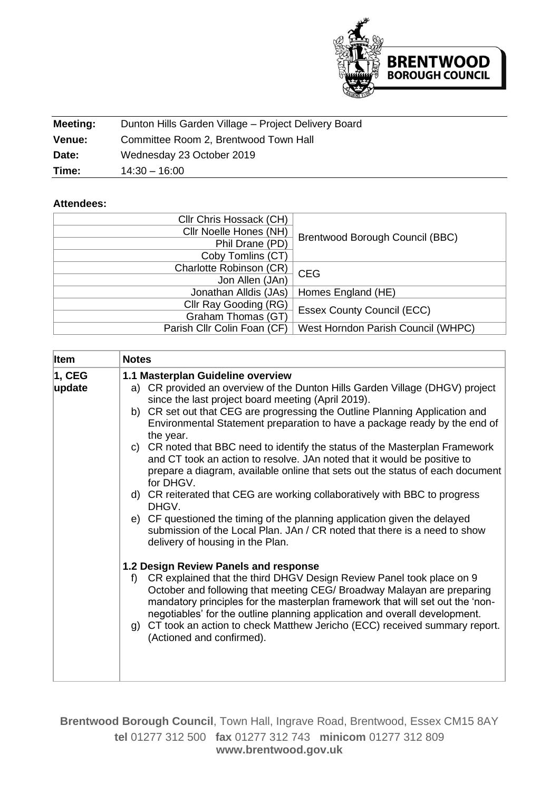

| Meeting:      | Dunton Hills Garden Village - Project Delivery Board |
|---------------|------------------------------------------------------|
| <b>Venue:</b> | Committee Room 2, Brentwood Town Hall                |
| Date:         | Wednesday 23 October 2019                            |
| Time:         | $14:30 - 16:00$                                      |

## **Attendees:**

| Cllr Chris Hossack (CH)     |                                    |  |
|-----------------------------|------------------------------------|--|
| Cllr Noelle Hones (NH)      |                                    |  |
| Phil Drane (PD)             | Brentwood Borough Council (BBC)    |  |
| Coby Tomlins (CT)           |                                    |  |
| Charlotte Robinson (CR)     | <b>CEG</b>                         |  |
| Jon Allen (JAn)             |                                    |  |
| Jonathan Alldis (JAs)       | Homes England (HE)                 |  |
| Cllr Ray Gooding (RG)       | <b>Essex County Council (ECC)</b>  |  |
| Graham Thomas (GT)          |                                    |  |
| Parish Cllr Colin Foan (CF) | West Horndon Parish Council (WHPC) |  |
|                             |                                    |  |

| <b>Item</b>      | <b>Notes</b>                                                                                                                                                                                                                                                                                                                                                                                                                                                                                                                                                                                               |
|------------------|------------------------------------------------------------------------------------------------------------------------------------------------------------------------------------------------------------------------------------------------------------------------------------------------------------------------------------------------------------------------------------------------------------------------------------------------------------------------------------------------------------------------------------------------------------------------------------------------------------|
| 1, CEG<br>update | 1.1 Masterplan Guideline overview<br>a) CR provided an overview of the Dunton Hills Garden Village (DHGV) project<br>since the last project board meeting (April 2019).<br>b) CR set out that CEG are progressing the Outline Planning Application and<br>Environmental Statement preparation to have a package ready by the end of<br>the year.<br>c) CR noted that BBC need to identify the status of the Masterplan Framework<br>and CT took an action to resolve. JAn noted that it would be positive to<br>prepare a diagram, available online that sets out the status of each document<br>for DHGV. |
|                  | d) CR reiterated that CEG are working collaboratively with BBC to progress<br>DHGV.<br>e) CF questioned the timing of the planning application given the delayed<br>submission of the Local Plan. JAn / CR noted that there is a need to show<br>delivery of housing in the Plan.                                                                                                                                                                                                                                                                                                                          |
|                  | 1.2 Design Review Panels and response<br>CR explained that the third DHGV Design Review Panel took place on 9<br>f<br>October and following that meeting CEG/ Broadway Malayan are preparing<br>mandatory principles for the masterplan framework that will set out the 'non-<br>negotiables' for the outline planning application and overall development.<br>g) CT took an action to check Matthew Jericho (ECC) received summary report.<br>(Actioned and confirmed).                                                                                                                                   |

**Brentwood Borough Council**, Town Hall, Ingrave Road, Brentwood, Essex CM15 8AY **tel** 01277 312 500 **fax** 01277 312 743 **minicom** 01277 312 809 **www.brentwood.gov.uk**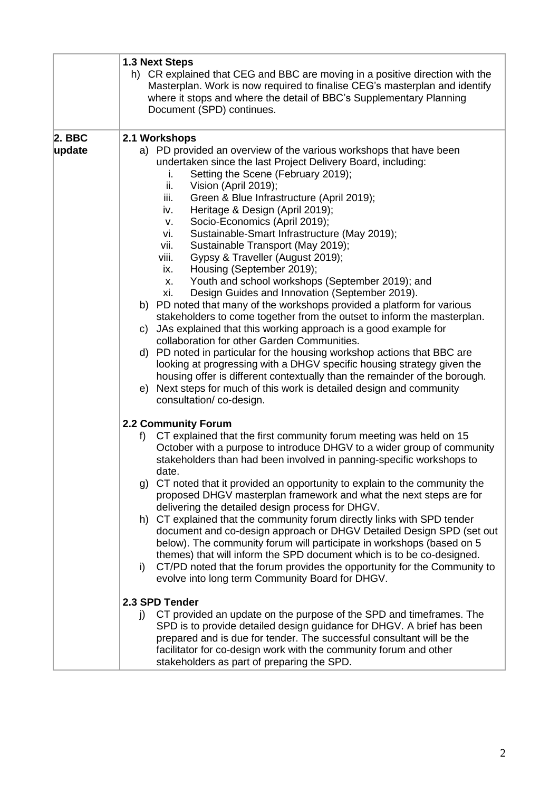|                    | 1.3 Next Steps<br>h) CR explained that CEG and BBC are moving in a positive direction with the<br>Masterplan. Work is now required to finalise CEG's masterplan and identify<br>where it stops and where the detail of BBC's Supplementary Planning<br>Document (SPD) continues.                                                                                                                                                                                                                                                                                                                                                                                                                                                                                                                                                                                                                                                                                                                                                                                                                                                                                                                                                                                                               |
|--------------------|------------------------------------------------------------------------------------------------------------------------------------------------------------------------------------------------------------------------------------------------------------------------------------------------------------------------------------------------------------------------------------------------------------------------------------------------------------------------------------------------------------------------------------------------------------------------------------------------------------------------------------------------------------------------------------------------------------------------------------------------------------------------------------------------------------------------------------------------------------------------------------------------------------------------------------------------------------------------------------------------------------------------------------------------------------------------------------------------------------------------------------------------------------------------------------------------------------------------------------------------------------------------------------------------|
| $2.$ BBC<br>update | 2.1 Workshops<br>a) PD provided an overview of the various workshops that have been<br>undertaken since the last Project Delivery Board, including:<br>Setting the Scene (February 2019);<br>i.<br>ii.<br>Vision (April 2019);<br>iii.<br>Green & Blue Infrastructure (April 2019);<br>Heritage & Design (April 2019);<br>iv.<br>Socio-Economics (April 2019);<br>v.<br>Sustainable-Smart Infrastructure (May 2019);<br>vi.<br>vii.<br>Sustainable Transport (May 2019);<br>viii.<br>Gypsy & Traveller (August 2019);<br>Housing (September 2019);<br>ix.<br>Youth and school workshops (September 2019); and<br>X.<br>Design Guides and Innovation (September 2019).<br>xi.<br>b) PD noted that many of the workshops provided a platform for various<br>stakeholders to come together from the outset to inform the masterplan.<br>c) JAs explained that this working approach is a good example for<br>collaboration for other Garden Communities.<br>d) PD noted in particular for the housing workshop actions that BBC are<br>looking at progressing with a DHGV specific housing strategy given the<br>housing offer is different contextually than the remainder of the borough.<br>Next steps for much of this work is detailed design and community<br>e)<br>consultation/co-design. |
|                    | 2.2 Community Forum<br>CT explained that the first community forum meeting was held on 15<br>f<br>October with a purpose to introduce DHGV to a wider group of community<br>stakeholders than had been involved in panning-specific workshops to<br>date.<br>g) CT noted that it provided an opportunity to explain to the community the<br>proposed DHGV masterplan framework and what the next steps are for<br>delivering the detailed design process for DHGV.<br>h) CT explained that the community forum directly links with SPD tender<br>document and co-design approach or DHGV Detailed Design SPD (set out<br>below). The community forum will participate in workshops (based on 5<br>themes) that will inform the SPD document which is to be co-designed.<br>CT/PD noted that the forum provides the opportunity for the Community to<br>i)<br>evolve into long term Community Board for DHGV.<br>2.3 SPD Tender<br>CT provided an update on the purpose of the SPD and timeframes. The<br>I)<br>SPD is to provide detailed design guidance for DHGV. A brief has been<br>prepared and is due for tender. The successful consultant will be the<br>facilitator for co-design work with the community forum and other<br>stakeholders as part of preparing the SPD.               |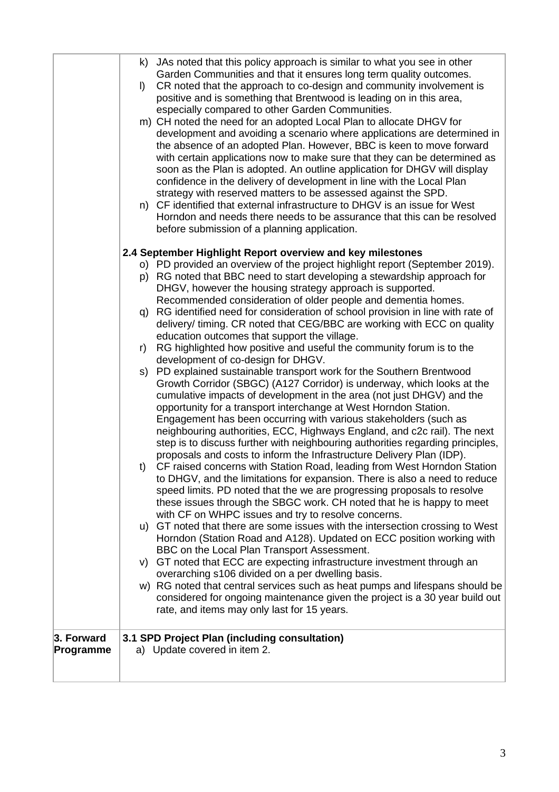|            |         | k) JAs noted that this policy approach is similar to what you see in other                                                                            |
|------------|---------|-------------------------------------------------------------------------------------------------------------------------------------------------------|
|            |         | Garden Communities and that it ensures long term quality outcomes.                                                                                    |
|            | $\vert$ | CR noted that the approach to co-design and community involvement is                                                                                  |
|            |         | positive and is something that Brentwood is leading on in this area,                                                                                  |
|            |         | especially compared to other Garden Communities.                                                                                                      |
|            |         | m) CH noted the need for an adopted Local Plan to allocate DHGV for                                                                                   |
|            |         | development and avoiding a scenario where applications are determined in                                                                              |
|            |         | the absence of an adopted Plan. However, BBC is keen to move forward                                                                                  |
|            |         | with certain applications now to make sure that they can be determined as                                                                             |
|            |         | soon as the Plan is adopted. An outline application for DHGV will display                                                                             |
|            |         | confidence in the delivery of development in line with the Local Plan                                                                                 |
|            |         | strategy with reserved matters to be assessed against the SPD.                                                                                        |
|            | n)      | CF identified that external infrastructure to DHGV is an issue for West                                                                               |
|            |         | Horndon and needs there needs to be assurance that this can be resolved                                                                               |
|            |         | before submission of a planning application.                                                                                                          |
|            |         | 2.4 September Highlight Report overview and key milestones                                                                                            |
|            |         | o) PD provided an overview of the project highlight report (September 2019).                                                                          |
|            |         | p) RG noted that BBC need to start developing a stewardship approach for                                                                              |
|            |         | DHGV, however the housing strategy approach is supported.                                                                                             |
|            |         | Recommended consideration of older people and dementia homes.                                                                                         |
|            |         | q) RG identified need for consideration of school provision in line with rate of                                                                      |
|            |         | delivery/ timing. CR noted that CEG/BBC are working with ECC on quality                                                                               |
|            |         | education outcomes that support the village.                                                                                                          |
|            | r)      | RG highlighted how positive and useful the community forum is to the                                                                                  |
|            | s)      | development of co-design for DHGV.<br>PD explained sustainable transport work for the Southern Brentwood                                              |
|            |         | Growth Corridor (SBGC) (A127 Corridor) is underway, which looks at the                                                                                |
|            |         | cumulative impacts of development in the area (not just DHGV) and the                                                                                 |
|            |         | opportunity for a transport interchange at West Horndon Station.                                                                                      |
|            |         | Engagement has been occurring with various stakeholders (such as                                                                                      |
|            |         | neighbouring authorities, ECC, Highways England, and c2c rail). The next                                                                              |
|            |         | step is to discuss further with neighbouring authorities regarding principles,                                                                        |
|            |         | proposals and costs to inform the Infrastructure Delivery Plan (IDP).                                                                                 |
|            | t)      | CF raised concerns with Station Road, leading from West Horndon Station                                                                               |
|            |         | to DHGV, and the limitations for expansion. There is also a need to reduce<br>speed limits. PD noted that the we are progressing proposals to resolve |
|            |         | these issues through the SBGC work. CH noted that he is happy to meet                                                                                 |
|            |         | with CF on WHPC issues and try to resolve concerns.                                                                                                   |
|            |         | u) GT noted that there are some issues with the intersection crossing to West                                                                         |
|            |         | Horndon (Station Road and A128). Updated on ECC position working with                                                                                 |
|            |         | BBC on the Local Plan Transport Assessment.                                                                                                           |
|            |         | v) GT noted that ECC are expecting infrastructure investment through an                                                                               |
|            |         | overarching s106 divided on a per dwelling basis.                                                                                                     |
|            |         | w) RG noted that central services such as heat pumps and lifespans should be                                                                          |
|            |         | considered for ongoing maintenance given the project is a 30 year build out<br>rate, and items may only last for 15 years.                            |
|            |         |                                                                                                                                                       |
| 3. Forward |         | 3.1 SPD Project Plan (including consultation)                                                                                                         |
| Programme  |         | a) Update covered in item 2.                                                                                                                          |
|            |         |                                                                                                                                                       |
|            |         |                                                                                                                                                       |